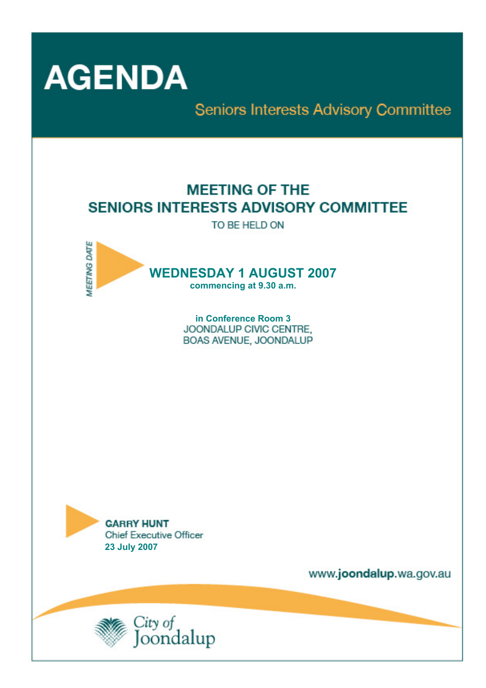

Seniors Interests Advisory Committee

# **MEETING OF THE SENIORS INTERESTS ADVISORY COMMITTEE**

TO BE HELD ON



**in Conference Room 3**  BOAS AVENUE, JOONDALUP



www.joondalup.wa.gov.au

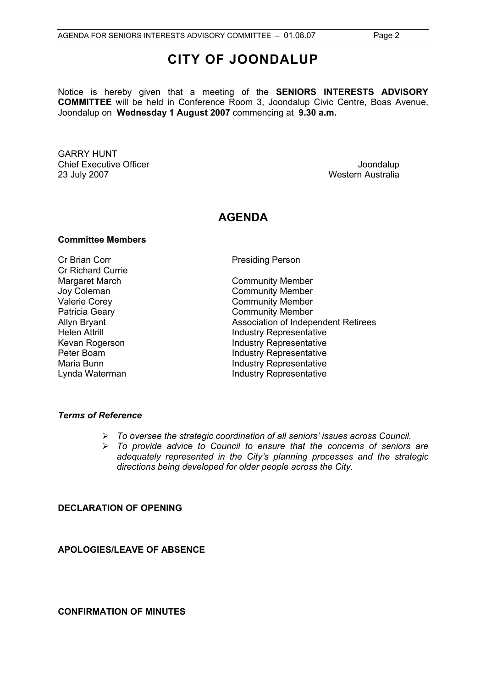# **CITY OF JOONDALUP**

Notice is hereby given that a meeting of the **SENIORS INTERESTS ADVISORY COMMITTEE** will be held in Conference Room 3, Joondalup Civic Centre, Boas Avenue, Joondalup on **Wednesday 1 August 2007** commencing at **9.30 a.m.** 

GARRY HUNT Chief Executive Officer  $\Box$  Joondalup Joondalup 23 July 2007 Western Australia

# **AGENDA**

# **Committee Members**

Cr Brian Corr **Presiding Person** Cr Richard Currie

Margaret March **Community Member** Joy Coleman **Community Member**<br>
Valerie Corev **Community Member** Community Member Patricia Geary **Community Member** Allyn Bryant Association of Independent Retirees Helen Attrill **Industry Representative** Kevan Rogerson **Industry Representative** Peter Boam **Industry Representative** Maria Bunn **Industry Representative** Lynda Waterman **Industry Representative** 

#### *Terms of Reference*

- ¾ *To oversee the strategic coordination of all seniors' issues across Council.*
- ¾ *To provide advice to Council to ensure that the concerns of seniors are adequately represented in the City's planning processes and the strategic directions being developed for older people across the City.*

# **DECLARATION OF OPENING**

**APOLOGIES/LEAVE OF ABSENCE** 

**CONFIRMATION OF MINUTES**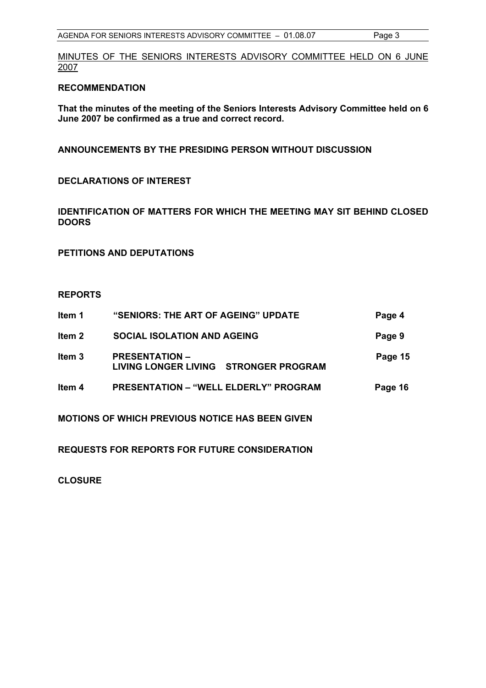MINUTES OF THE SENIORS INTERESTS ADVISORY COMMITTEE HELD ON 6 JUNE 2007

### **RECOMMENDATION**

**That the minutes of the meeting of the Seniors Interests Advisory Committee held on 6 June 2007 be confirmed as a true and correct record.** 

**ANNOUNCEMENTS BY THE PRESIDING PERSON WITHOUT DISCUSSION** 

**DECLARATIONS OF INTEREST** 

**IDENTIFICATION OF MATTERS FOR WHICH THE MEETING MAY SIT BEHIND CLOSED DOORS** 

**PETITIONS AND DEPUTATIONS** 

#### **REPORTS**

| Item 1            | "SENIORS: THE ART OF AGEING" UPDATE                            | Page 4  |
|-------------------|----------------------------------------------------------------|---------|
| Item 2            | <b>SOCIAL ISOLATION AND AGEING</b>                             | Page 9  |
| Item <sub>3</sub> | <b>PRESENTATION –</b><br>LIVING LONGER LIVING STRONGER PROGRAM | Page 15 |
| ltem 4            | <b>PRESENTATION – "WELL ELDERLY" PROGRAM</b>                   | Page 16 |
|                   | <b>MOTIONS OF WHICH PREVIOUS NOTICE HAS BEEN GIVEN</b>         |         |

**REQUESTS FOR REPORTS FOR FUTURE CONSIDERATION** 

**CLOSURE**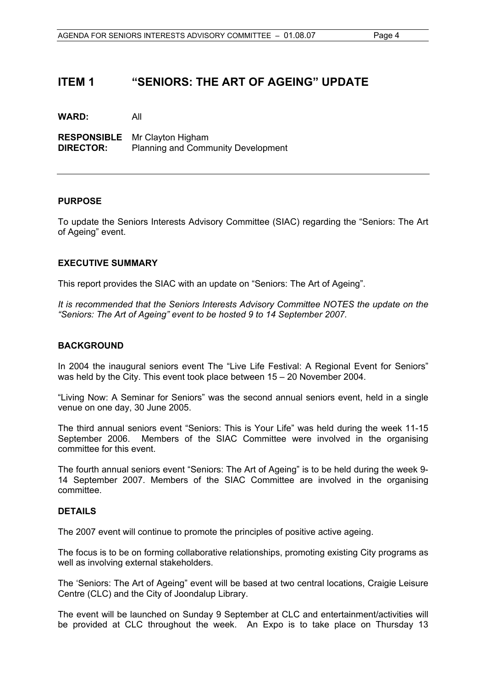# **ITEM 1 "SENIORS: THE ART OF AGEING" UPDATE**

**WARD:** All

**RESPONSIBLE** Mr Clayton Higham **DIRECTOR:** Planning and Community Development

# **PURPOSE**

To update the Seniors Interests Advisory Committee (SIAC) regarding the "Seniors: The Art of Ageing" event.

#### **EXECUTIVE SUMMARY**

This report provides the SIAC with an update on "Seniors: The Art of Ageing".

*It is recommended that the Seniors Interests Advisory Committee NOTES the update on the "Seniors: The Art of Ageing" event to be hosted 9 to 14 September 2007.* 

#### **BACKGROUND**

In 2004 the inaugural seniors event The "Live Life Festival: A Regional Event for Seniors" was held by the City. This event took place between 15 – 20 November 2004.

"Living Now: A Seminar for Seniors" was the second annual seniors event, held in a single venue on one day, 30 June 2005.

The third annual seniors event "Seniors: This is Your Life" was held during the week 11-15 September 2006.Members of the SIAC Committee were involved in the organising committee for this event.

The fourth annual seniors event "Seniors: The Art of Ageing" is to be held during the week 9- 14 September 2007. Members of the SIAC Committee are involved in the organising committee.

### **DETAILS**

The 2007 event will continue to promote the principles of positive active ageing.

The focus is to be on forming collaborative relationships, promoting existing City programs as well as involving external stakeholders.

The 'Seniors: The Art of Ageing" event will be based at two central locations, Craigie Leisure Centre (CLC) and the City of Joondalup Library.

The event will be launched on Sunday 9 September at CLC and entertainment/activities will be provided at CLC throughout the week. An Expo is to take place on Thursday 13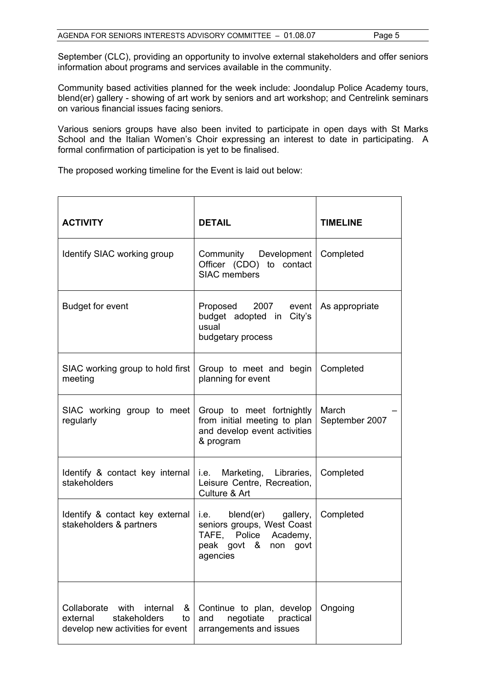September (CLC), providing an opportunity to involve external stakeholders and offer seniors information about programs and services available in the community.

Community based activities planned for the week include: Joondalup Police Academy tours, blend(er) gallery - showing of art work by seniors and art workshop; and Centrelink seminars on various financial issues facing seniors.

Various seniors groups have also been invited to participate in open days with St Marks School and the Italian Women's Choir expressing an interest to date in participating. A formal confirmation of participation is yet to be finalised.

The proposed working timeline for the Event is laid out below:

| <b>ACTIVITY</b>                                                                                      | <b>DETAIL</b>                                                                                                      | <b>TIMELINE</b>         |
|------------------------------------------------------------------------------------------------------|--------------------------------------------------------------------------------------------------------------------|-------------------------|
| Identify SIAC working group                                                                          | Community Development<br>Officer (CDO) to contact<br><b>SIAC</b> members                                           | Completed               |
| <b>Budget for event</b>                                                                              | Proposed 2007 event<br>budget adopted in City's<br>usual<br>budgetary process                                      | As appropriate          |
| SIAC working group to hold first<br>meeting                                                          | Group to meet and begin<br>planning for event                                                                      | Completed               |
| SIAC working group to meet<br>regularly                                                              | Group to meet fortnightly<br>from initial meeting to plan<br>and develop event activities<br>& program             | March<br>September 2007 |
| Identify & contact key internal   i.e. Marketing, Libraries,<br>stakeholders                         | Leisure Centre, Recreation,<br>Culture & Art                                                                       | Completed               |
| Identify & contact key external<br>stakeholders & partners                                           | i.e. blend(er) gallery,<br>seniors groups, West Coast<br>TAFE, Police Academy,<br>peak govt & non govt<br>agencies | Completed               |
| Collaborate with internal<br>&<br>stakeholders<br>external<br>to<br>develop new activities for event | Continue to plan, develop<br>negotiate practical<br>and<br>arrangements and issues                                 | Ongoing                 |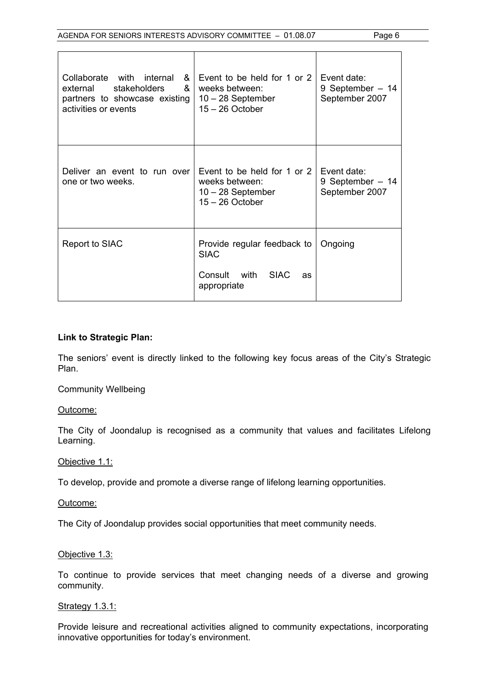| Collaborate with internal<br>&<br><b>stakeholders</b><br>&<br>external<br>partners to showcase existing<br>activities or events | Event to be held for 1 or 2<br>weeks between:<br>$10 - 28$ September<br>$15 - 26$ October | Event date:<br>9 September $-14$<br>September 2007 |
|---------------------------------------------------------------------------------------------------------------------------------|-------------------------------------------------------------------------------------------|----------------------------------------------------|
| Deliver an event to run over<br>one or two weeks.                                                                               | Event to be held for 1 or 2<br>weeks between:<br>$10 - 28$ September<br>$15 - 26$ October | Event date:<br>9 September $-14$<br>September 2007 |
| Report to SIAC                                                                                                                  | Provide regular feedback to<br><b>SIAC</b><br>Consult with SIAC<br>as<br>appropriate      | Ongoing                                            |

# **Link to Strategic Plan:**

The seniors' event is directly linked to the following key focus areas of the City's Strategic Plan.

Community Wellbeing

#### Outcome:

The City of Joondalup is recognised as a community that values and facilitates Lifelong Learning.

#### Objective 1.1:

To develop, provide and promote a diverse range of lifelong learning opportunities.

### Outcome:

The City of Joondalup provides social opportunities that meet community needs.

# Objective 1.3:

To continue to provide services that meet changing needs of a diverse and growing community.

#### **Strategy 1.3.1:**

Provide leisure and recreational activities aligned to community expectations, incorporating innovative opportunities for today's environment.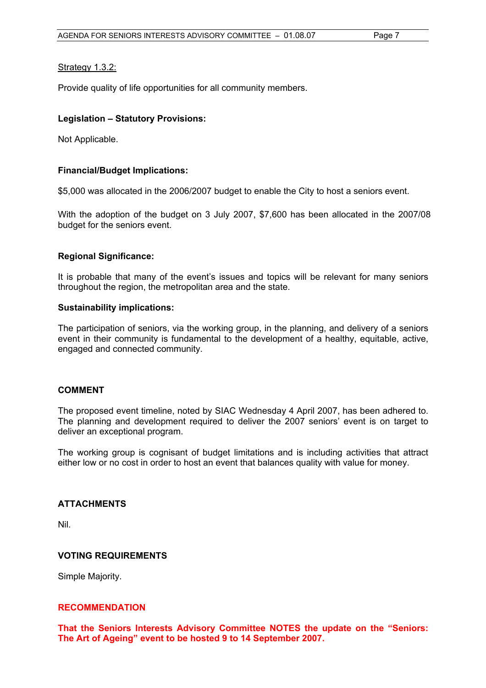# Strategy 1.3.2:

Provide quality of life opportunities for all community members.

# **Legislation – Statutory Provisions:**

Not Applicable.

# **Financial/Budget Implications:**

\$5,000 was allocated in the 2006/2007 budget to enable the City to host a seniors event.

With the adoption of the budget on 3 July 2007, \$7,600 has been allocated in the 2007/08 budget for the seniors event.

# **Regional Significance:**

It is probable that many of the event's issues and topics will be relevant for many seniors throughout the region, the metropolitan area and the state.

#### **Sustainability implications:**

The participation of seniors, via the working group, in the planning, and delivery of a seniors event in their community is fundamental to the development of a healthy, equitable, active, engaged and connected community.

#### **COMMENT**

The proposed event timeline, noted by SIAC Wednesday 4 April 2007, has been adhered to. The planning and development required to deliver the 2007 seniors' event is on target to deliver an exceptional program.

The working group is cognisant of budget limitations and is including activities that attract either low or no cost in order to host an event that balances quality with value for money.

#### **ATTACHMENTS**

Nil.

#### **VOTING REQUIREMENTS**

Simple Majority.

#### **RECOMMENDATION**

**That the Seniors Interests Advisory Committee NOTES the update on the "Seniors: The Art of Ageing" event to be hosted 9 to 14 September 2007.**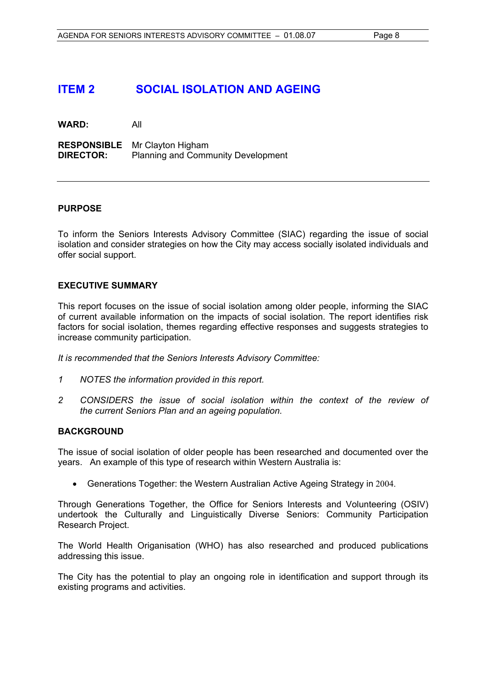# **ITEM 2 SOCIAL ISOLATION AND AGEING**

**WARD:** All

**RESPONSIBLE** Mr Clayton Higham **DIRECTOR:** Planning and Community Development

# **PURPOSE**

To inform the Seniors Interests Advisory Committee (SIAC) regarding the issue of social isolation and consider strategies on how the City may access socially isolated individuals and offer social support.

# **EXECUTIVE SUMMARY**

This report focuses on the issue of social isolation among older people, informing the SIAC of current available information on the impacts of social isolation. The report identifies risk factors for social isolation, themes regarding effective responses and suggests strategies to increase community participation.

*It is recommended that the Seniors Interests Advisory Committee:* 

- *1 NOTES the information provided in this report.*
- 2 CONSIDERS the issue of social isolation within the context of the review of *the current Seniors Plan and an ageing population.*

#### **BACKGROUND**

The issue of social isolation of older people has been researched and documented over the years. An example of this type of research within Western Australia is:

• Generations Together: the Western Australian Active Ageing Strategy in 2004.

Through Generations Together, the Office for Seniors Interests and Volunteering (OSIV) undertook the Culturally and Linguistically Diverse Seniors: Community Participation Research Project.

The World Health Origanisation (WHO) has also researched and produced publications addressing this issue.

The City has the potential to play an ongoing role in identification and support through its existing programs and activities.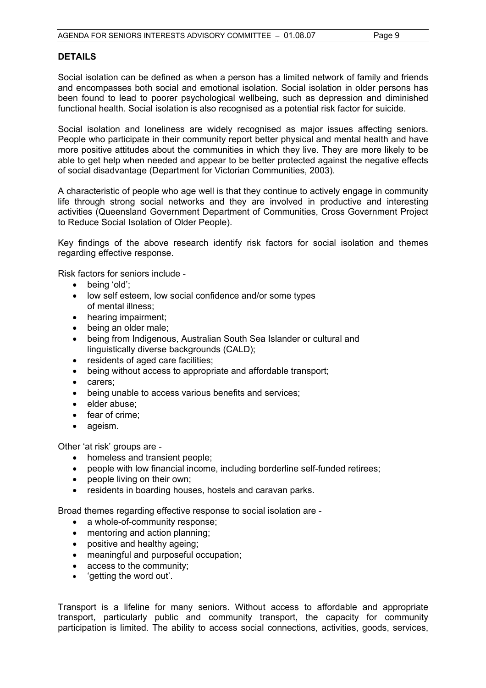# **DETAILS**

Social isolation can be defined as when a person has a limited network of family and friends and encompasses both social and emotional isolation. Social isolation in older persons has been found to lead to poorer psychological wellbeing, such as depression and diminished functional health. Social isolation is also recognised as a potential risk factor for suicide.

Social isolation and loneliness are widely recognised as major issues affecting seniors. People who participate in their community report better physical and mental health and have more positive attitudes about the communities in which they live. They are more likely to be able to get help when needed and appear to be better protected against the negative effects of social disadvantage (Department for Victorian Communities, 2003).

A characteristic of people who age well is that they continue to actively engage in community life through strong social networks and they are involved in productive and interesting activities (Queensland Government Department of Communities, Cross Government Project to Reduce Social Isolation of Older People).

Key findings of the above research identify risk factors for social isolation and themes regarding effective response.

Risk factors for seniors include -

- being 'old';
- low self esteem, low social confidence and/or some types of mental illness;
- hearing impairment;
- being an older male:
- being from Indigenous, Australian South Sea Islander or cultural and linguistically diverse backgrounds (CALD);
- residents of aged care facilities;
- being without access to appropriate and affordable transport;
- carers;
- being unable to access various benefits and services;
- elder abuse:
- fear of crime;
- ageism.

Other 'at risk' groups are -

- homeless and transient people;
- people with low financial income, including borderline self-funded retirees;
- people living on their own;
- residents in boarding houses, hostels and caravan parks.

Broad themes regarding effective response to social isolation are -

- a whole-of-community response;
- mentoring and action planning;
- positive and healthy ageing;
- meaningful and purposeful occupation;
- access to the community;
- 'getting the word out'.

Transport is a lifeline for many seniors. Without access to affordable and appropriate transport, particularly public and community transport, the capacity for community participation is limited. The ability to access social connections, activities, goods, services,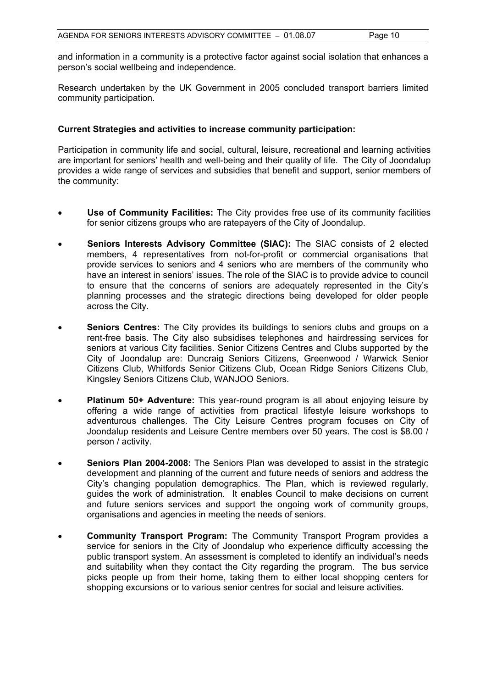and information in a community is a protective factor against social isolation that enhances a person's social wellbeing and independence.

Research undertaken by the UK Government in 2005 concluded transport barriers limited community participation.

# **Current Strategies and activities to increase community participation:**

Participation in community life and social, cultural, leisure, recreational and learning activities are important for seniors' health and well-being and their quality of life. The City of Joondalup provides a wide range of services and subsidies that benefit and support, senior members of the community:

- **Use of Community Facilities:** The City provides free use of its community facilities for senior citizens groups who are ratepayers of the City of Joondalup.
- **Seniors Interests Advisory Committee (SIAC):** The SIAC consists of 2 elected members, 4 representatives from not-for-profit or commercial organisations that provide services to seniors and 4 seniors who are members of the community who have an interest in seniors' issues. The role of the SIAC is to provide advice to council to ensure that the concerns of seniors are adequately represented in the City's planning processes and the strategic directions being developed for older people across the City.
- **Seniors Centres:** The City provides its buildings to seniors clubs and groups on a rent-free basis. The City also subsidises telephones and hairdressing services for seniors at various City facilities. Senior Citizens Centres and Clubs supported by the City of Joondalup are: Duncraig Seniors Citizens, Greenwood / Warwick Senior Citizens Club, Whitfords Senior Citizens Club, Ocean Ridge Seniors Citizens Club, Kingsley Seniors Citizens Club, WANJOO Seniors.
- **Platinum 50+ Adventure:** This year-round program is all about enjoying leisure by offering a wide range of activities from practical lifestyle leisure workshops to adventurous challenges. The City Leisure Centres program focuses on City of Joondalup residents and Leisure Centre members over 50 years. The cost is \$8.00 / person / activity.
- **Seniors Plan 2004-2008:** The Seniors Plan was developed to assist in the strategic development and planning of the current and future needs of seniors and address the City's changing population demographics. The Plan, which is reviewed regularly, guides the work of administration. It enables Council to make decisions on current and future seniors services and support the ongoing work of community groups, organisations and agencies in meeting the needs of seniors.
- **Community Transport Program:** The Community Transport Program provides a service for seniors in the City of Joondalup who experience difficulty accessing the public transport system. An assessment is completed to identify an individual's needs and suitability when they contact the City regarding the program. The bus service picks people up from their home, taking them to either local shopping centers for shopping excursions or to various senior centres for social and leisure activities.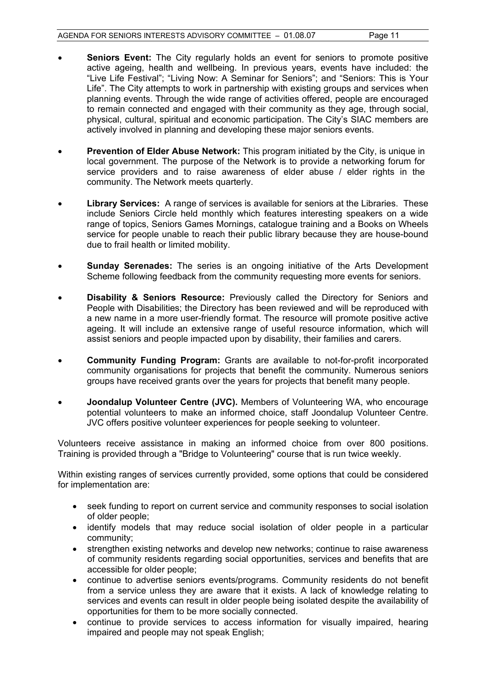- **Seniors Event:** The City regularly holds an event for seniors to promote positive active ageing, health and wellbeing. In previous years, events have included: the "Live Life Festival"; "Living Now: A Seminar for Seniors"; and "Seniors: This is Your Life". The City attempts to work in partnership with existing groups and services when planning events. Through the wide range of activities offered, people are encouraged to remain connected and engaged with their community as they age, through social, physical, cultural, spiritual and economic participation. The City's SIAC members are actively involved in planning and developing these major seniors events.
- **Prevention of Elder Abuse Network:** This program initiated by the City, is unique in local government. The purpose of the Network is to provide a networking forum for service providers and to raise awareness of elder abuse / elder rights in the community. The Network meets quarterly.
- **Library Services:** A range of services is available for seniors at the Libraries. These include Seniors Circle held monthly which features interesting speakers on a wide range of topics, Seniors Games Mornings, catalogue training and a Books on Wheels service for people unable to reach their public library because they are house-bound due to frail health or limited mobility.
- **Sunday Serenades:** The series is an ongoing initiative of the Arts Development Scheme following feedback from the community requesting more events for seniors.
- **Disability & Seniors Resource:** Previously called the Directory for Seniors and People with Disabilities; the Directory has been reviewed and will be reproduced with a new name in a more user-friendly format. The resource will promote positive active ageing. It will include an extensive range of useful resource information, which will assist seniors and people impacted upon by disability, their families and carers.
- **Community Funding Program:** Grants are available to not-for-profit incorporated community organisations for projects that benefit the community. Numerous seniors groups have received grants over the years for projects that benefit many people.
- **Joondalup Volunteer Centre (JVC).** Members of Volunteering WA, who encourage potential volunteers to make an informed choice, staff Joondalup Volunteer Centre. JVC offers positive volunteer experiences for people seeking to volunteer.

Volunteers receive assistance in making an informed choice from over 800 positions. Training is provided through a "Bridge to Volunteering" course that is run twice weekly.

Within existing ranges of services currently provided, some options that could be considered for implementation are:

- seek funding to report on current service and community responses to social isolation of older people;
- identify models that may reduce social isolation of older people in a particular community;
- strengthen existing networks and develop new networks; continue to raise awareness of community residents regarding social opportunities, services and benefits that are accessible for older people;
- continue to advertise seniors events/programs. Community residents do not benefit from a service unless they are aware that it exists. A lack of knowledge relating to services and events can result in older people being isolated despite the availability of opportunities for them to be more socially connected.
- continue to provide services to access information for visually impaired, hearing impaired and people may not speak English;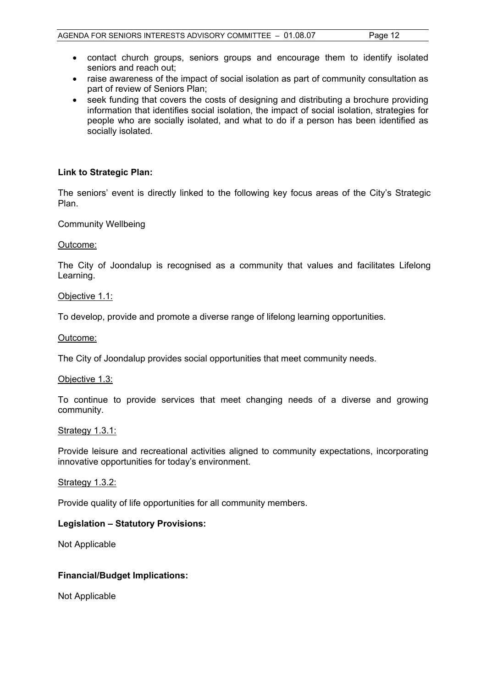- contact church groups, seniors groups and encourage them to identify isolated seniors and reach out;
- raise awareness of the impact of social isolation as part of community consultation as part of review of Seniors Plan;
- seek funding that covers the costs of designing and distributing a brochure providing information that identifies social isolation, the impact of social isolation, strategies for people who are socially isolated, and what to do if a person has been identified as socially isolated.

# **Link to Strategic Plan:**

The seniors' event is directly linked to the following key focus areas of the City's Strategic Plan.

Community Wellbeing

#### Outcome:

The City of Joondalup is recognised as a community that values and facilitates Lifelong Learning.

#### Objective 1.1:

To develop, provide and promote a diverse range of lifelong learning opportunities.

#### Outcome:

The City of Joondalup provides social opportunities that meet community needs.

#### Objective 1.3:

To continue to provide services that meet changing needs of a diverse and growing community.

#### Strategy 1.3.1:

Provide leisure and recreational activities aligned to community expectations, incorporating innovative opportunities for today's environment.

#### Strategy 1.3.2:

Provide quality of life opportunities for all community members.

#### **Legislation – Statutory Provisions:**

Not Applicable

#### **Financial/Budget Implications:**

Not Applicable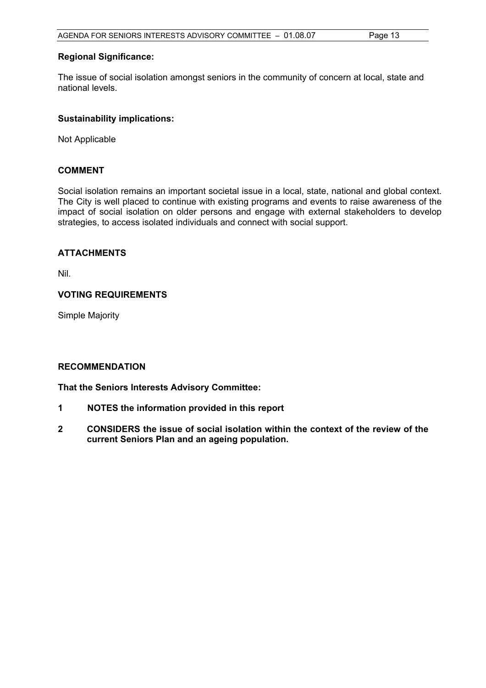# **Regional Significance:**

The issue of social isolation amongst seniors in the community of concern at local, state and national levels.

# **Sustainability implications:**

Not Applicable

# **COMMENT**

Social isolation remains an important societal issue in a local, state, national and global context. The City is well placed to continue with existing programs and events to raise awareness of the impact of social isolation on older persons and engage with external stakeholders to develop strategies, to access isolated individuals and connect with social support.

# **ATTACHMENTS**

Nil.

# **VOTING REQUIREMENTS**

Simple Majority

#### **RECOMMENDATION**

**That the Seniors Interests Advisory Committee:** 

- **1 NOTES the information provided in this report**
- **2 CONSIDERS the issue of social isolation within the context of the review of the current Seniors Plan and an ageing population.**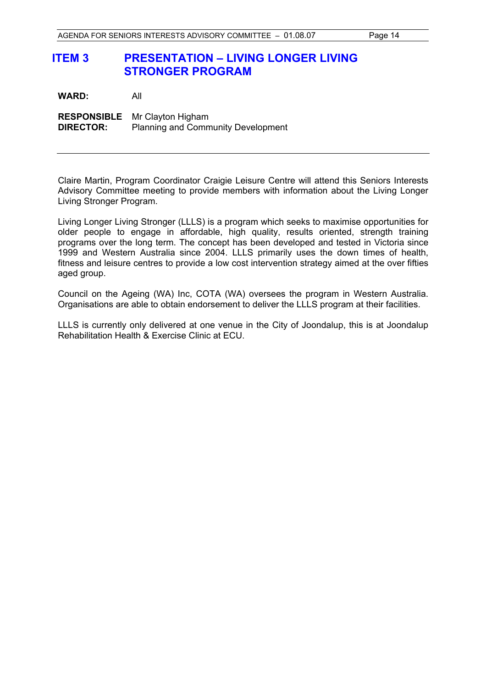# **ITEM 3 PRESENTATION – LIVING LONGER LIVING STRONGER PROGRAM**

| <b>WARD:</b>     | All                                                                               |
|------------------|-----------------------------------------------------------------------------------|
| <b>DIRECTOR:</b> | <b>RESPONSIBLE</b> Mr Clayton Higham<br><b>Planning and Community Development</b> |

Claire Martin, Program Coordinator Craigie Leisure Centre will attend this Seniors Interests Advisory Committee meeting to provide members with information about the Living Longer Living Stronger Program.

Living Longer Living Stronger (LLLS) is a program which seeks to maximise opportunities for older people to engage in affordable, high quality, results oriented, strength training programs over the long term. The concept has been developed and tested in Victoria since 1999 and Western Australia since 2004. LLLS primarily uses the down times of health, fitness and leisure centres to provide a low cost intervention strategy aimed at the over fifties aged group.

Council on the Ageing (WA) Inc, COTA (WA) oversees the program in Western Australia. Organisations are able to obtain endorsement to deliver the LLLS program at their facilities.

LLLS is currently only delivered at one venue in the City of Joondalup, this is at Joondalup Rehabilitation Health & Exercise Clinic at ECU.